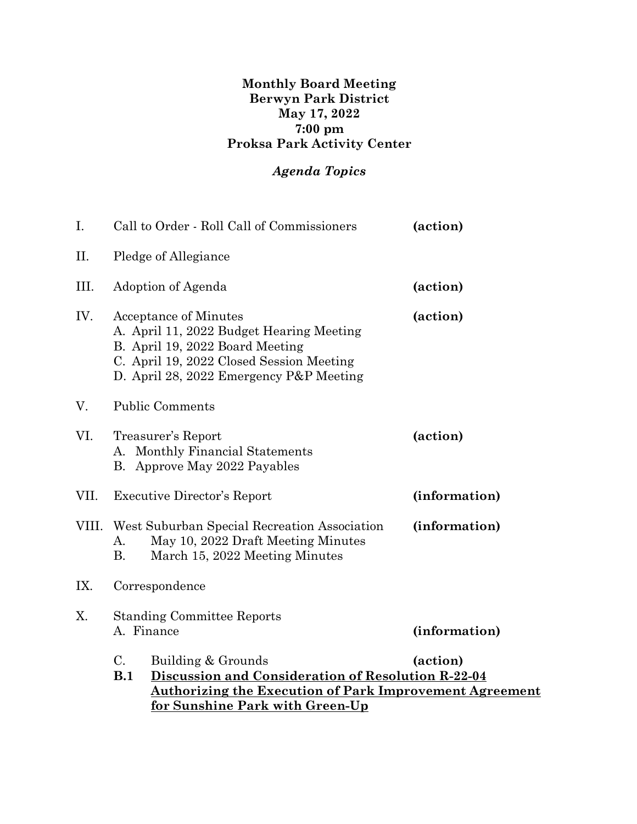## **Monthly Board Meeting Berwyn Park District May 17, 2022 7:00 pm Proksa Park Activity Center**

## *Agenda Topics*

| I.    | Call to Order - Roll Call of Commissioners                                                                                                                                                                             |                                                                                                                      | (action)      |
|-------|------------------------------------------------------------------------------------------------------------------------------------------------------------------------------------------------------------------------|----------------------------------------------------------------------------------------------------------------------|---------------|
| П.    | Pledge of Allegiance                                                                                                                                                                                                   |                                                                                                                      |               |
| III.  | Adoption of Agenda                                                                                                                                                                                                     |                                                                                                                      | (action)      |
| IV.   | <b>Acceptance of Minutes</b><br>A. April 11, 2022 Budget Hearing Meeting<br>B. April 19, 2022 Board Meeting<br>C. April 19, 2022 Closed Session Meeting<br>D. April 28, 2022 Emergency P&P Meeting                     |                                                                                                                      | (action)      |
| V.    | <b>Public Comments</b>                                                                                                                                                                                                 |                                                                                                                      |               |
| VI.   | Treasurer's Report<br>A. Monthly Financial Statements<br>B. Approve May 2022 Payables                                                                                                                                  |                                                                                                                      | (action)      |
| VII.  | <b>Executive Director's Report</b>                                                                                                                                                                                     |                                                                                                                      | (information) |
| VIII. | A.<br>В.                                                                                                                                                                                                               | West Suburban Special Recreation Association<br>May 10, 2022 Draft Meeting Minutes<br>March 15, 2022 Meeting Minutes | (information) |
| IX.   | Correspondence                                                                                                                                                                                                         |                                                                                                                      |               |
| Χ.    | <b>Standing Committee Reports</b><br>A. Finance                                                                                                                                                                        |                                                                                                                      | (information) |
|       | $C_{\cdot}$<br>Building & Grounds<br>(action)<br>Discussion and Consideration of Resolution R-22-04<br>B.1<br><u>Authorizing the Execution of Park Improvement Agreement</u><br><u>for Sunshine Park with Green-Up</u> |                                                                                                                      |               |